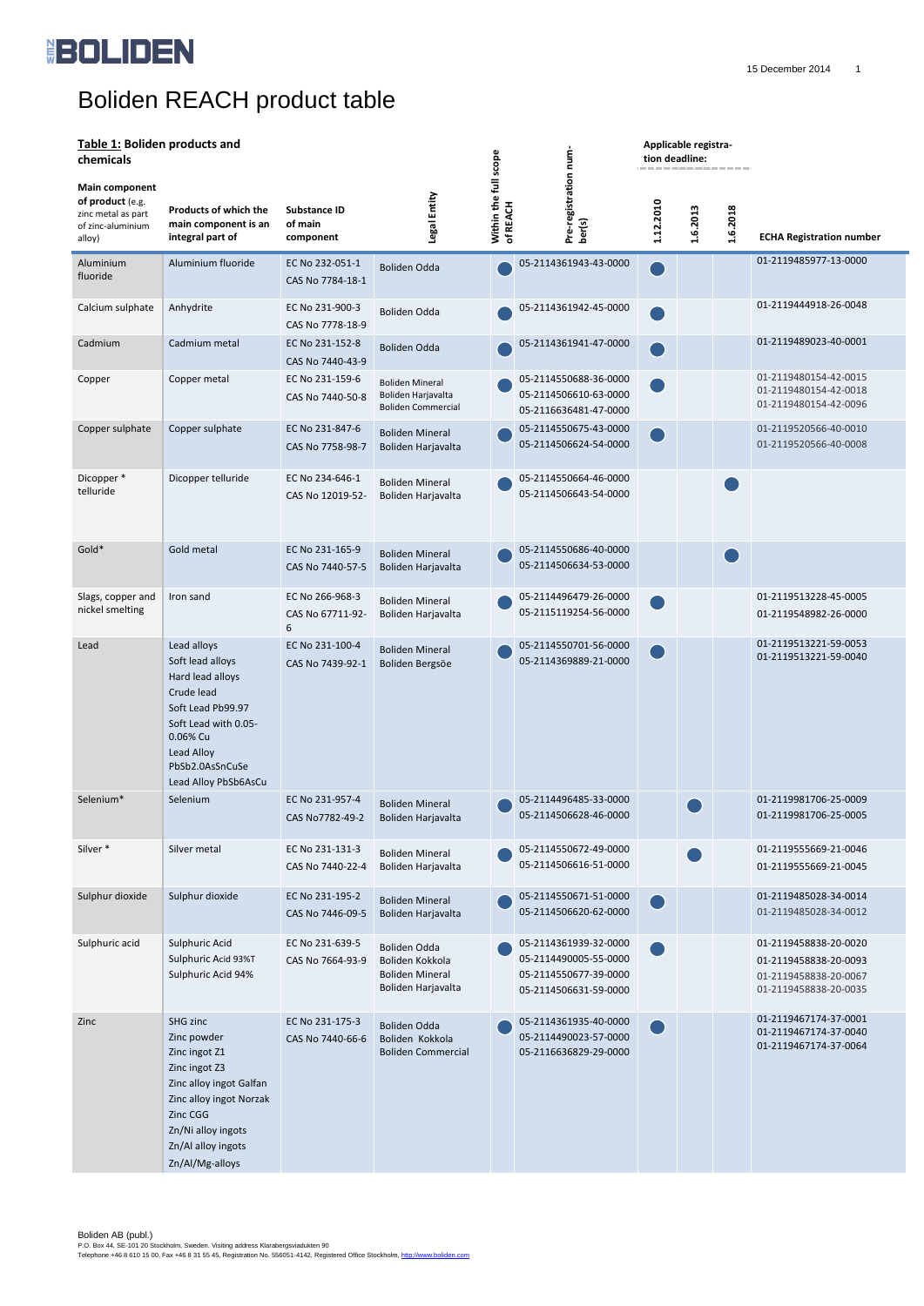

Boliden AB (publ.) P.O. Box 44, SE-101 20 Stockholm, Sweden. Visiting address Klarabergsviadukten 90 Telephone +46 8 610 15 00, Fax +46 8 31 55 45, Registration No. 556051-4142, Registered Office Stockholm, <u>http://www.boliden.com</u>

# Boliden REACH product table

## **Table 1: Boliden products and**

**Applicable registra-**

| Table 1: Bollden products and<br>chemicals                                                     |                                                                                                                                                                                            |                                             |                                                                                 |                                      | num-                                                                                             | Applicable registra-<br>tion deadline:<br>------------- |          |          |                                                                                                  |
|------------------------------------------------------------------------------------------------|--------------------------------------------------------------------------------------------------------------------------------------------------------------------------------------------|---------------------------------------------|---------------------------------------------------------------------------------|--------------------------------------|--------------------------------------------------------------------------------------------------|---------------------------------------------------------|----------|----------|--------------------------------------------------------------------------------------------------|
| <b>Main component</b><br>of product (e.g.<br>zinc metal as part<br>of zinc-aluminium<br>alloy) | <b>Products of which the</b><br>main component is an<br>integral part of                                                                                                                   | <b>Substance ID</b><br>of main<br>component | Legal Entity                                                                    | scope<br>Within the full<br>of REACH | Pre-registration<br>ber(s)                                                                       | 1.12.2010                                               | 1.6.2013 | 1.6.2018 | <b>ECHA Registration number</b>                                                                  |
| Aluminium<br>fluoride                                                                          | Aluminium fluoride                                                                                                                                                                         | EC No 232-051-1<br>CAS No 7784-18-1         | <b>Boliden Odda</b>                                                             |                                      | 05-2114361943-43-0000                                                                            |                                                         |          |          | 01-2119485977-13-0000                                                                            |
| Calcium sulphate                                                                               | Anhydrite                                                                                                                                                                                  | EC No 231-900-3<br>CAS No 7778-18-9         | <b>Boliden Odda</b>                                                             |                                      | 05-2114361942-45-0000                                                                            |                                                         |          |          | 01-2119444918-26-0048                                                                            |
| Cadmium                                                                                        | Cadmium metal                                                                                                                                                                              | EC No 231-152-8<br>CAS No 7440-43-9         | <b>Boliden Odda</b>                                                             |                                      | 05-2114361941-47-0000                                                                            |                                                         |          |          | 01-2119489023-40-0001                                                                            |
| Copper                                                                                         | Copper metal                                                                                                                                                                               | EC No 231-159-6<br>CAS No 7440-50-8         | <b>Boliden Mineral</b><br>Boliden Harjavalta<br><b>Boliden Commercial</b>       |                                      | 05-2114550688-36-0000<br>05-2114506610-63-0000<br>05-2116636481-47-0000                          |                                                         |          |          | 01-2119480154-42-0015<br>01-2119480154-42-0018<br>01-2119480154-42-0096                          |
| Copper sulphate                                                                                | Copper sulphate                                                                                                                                                                            | EC No 231-847-6<br>CAS No 7758-98-7         | <b>Boliden Mineral</b><br>Boliden Harjavalta                                    |                                      | 05-2114550675-43-0000<br>05-2114506624-54-0000                                                   |                                                         |          |          | 01-2119520566-40-0010<br>01-2119520566-40-0008                                                   |
| Dicopper *<br>telluride                                                                        | Dicopper telluride                                                                                                                                                                         | EC No 234-646-1<br>CAS No 12019-52-         | <b>Boliden Mineral</b><br>Boliden Harjavalta                                    |                                      | 05-2114550664-46-0000<br>05-2114506643-54-0000                                                   |                                                         |          |          |                                                                                                  |
| Gold*                                                                                          | Gold metal                                                                                                                                                                                 | EC No 231-165-9<br>CAS No 7440-57-5         | <b>Boliden Mineral</b><br>Boliden Harjavalta                                    |                                      | 05-2114550686-40-0000<br>05-2114506634-53-0000                                                   |                                                         |          |          |                                                                                                  |
| Slags, copper and<br>nickel smelting                                                           | Iron sand                                                                                                                                                                                  | EC No 266-968-3<br>CAS No 67711-92-<br>6    | <b>Boliden Mineral</b><br>Boliden Harjavalta                                    |                                      | 05-2114496479-26-0000<br>05-2115119254-56-0000                                                   |                                                         |          |          | 01-2119513228-45-0005<br>01-2119548982-26-0000                                                   |
| Lead                                                                                           | Lead alloys<br>Soft lead alloys<br>Hard lead alloys<br>Crude lead<br>Soft Lead Pb99.97<br>Soft Lead with 0.05-<br>0.06% Cu<br>Lead Alloy<br>PbSb2.0AsSnCuSe<br>Lead Alloy PbSb6AsCu        | EC No 231-100-4<br>CAS No 7439-92-1         | <b>Boliden Mineral</b><br>Boliden Bergsöe                                       |                                      | 05-2114550701-56-0000<br>05-2114369889-21-0000                                                   |                                                         |          |          | 01-2119513221-59-0053<br>01-2119513221-59-0040                                                   |
| Selenium*                                                                                      | Selenium                                                                                                                                                                                   | EC No 231-957-4<br>CAS No7782-49-2          | <b>Boliden Mineral</b><br>Boliden Harjavalta                                    |                                      | 05-2114496485-33-0000<br>05-2114506628-46-0000                                                   |                                                         |          |          | 01-2119981706-25-0009<br>01-2119981706-25-0005                                                   |
| Silver *                                                                                       | Silver metal                                                                                                                                                                               | EC No 231-131-3<br>CAS No 7440-22-4         | <b>Boliden Mineral</b><br>Boliden Harjavalta                                    |                                      | 05-2114550672-49-0000<br>05-2114506616-51-0000                                                   |                                                         |          |          | 01-2119555669-21-0046<br>01-2119555669-21-0045                                                   |
| Sulphur dioxide                                                                                | Sulphur dioxide                                                                                                                                                                            | EC No 231-195-2<br>CAS No 7446-09-5         | <b>Boliden Mineral</b><br>Boliden Harjavalta                                    |                                      | 05-2114550671-51-0000<br>05-2114506620-62-0000                                                   |                                                         |          |          | 01-2119485028-34-0014<br>01-2119485028-34-0012                                                   |
| Sulphuric acid                                                                                 | Sulphuric Acid<br>Sulphuric Acid 93%T<br>Sulphuric Acid 94%                                                                                                                                | EC No 231-639-5<br>CAS No 7664-93-9         | Boliden Odda<br>Boliden Kokkola<br><b>Boliden Mineral</b><br>Boliden Harjavalta |                                      | 05-2114361939-32-0000<br>05-2114490005-55-0000<br>05-2114550677-39-0000<br>05-2114506631-59-0000 |                                                         |          |          | 01-2119458838-20-0020<br>01-2119458838-20-0093<br>01-2119458838-20-0067<br>01-2119458838-20-0035 |
| Zinc                                                                                           | SHG zinc<br>Zinc powder<br>Zinc ingot Z1<br>Zinc ingot Z3<br>Zinc alloy ingot Galfan<br>Zinc alloy ingot Norzak<br>Zinc CGG<br>Zn/Ni alloy ingots<br>Zn/Al alloy ingots<br>Zn/Al/Mg-alloys | EC No 231-175-3<br>CAS No 7440-66-6         | <b>Boliden Odda</b><br>Boliden Kokkola<br><b>Boliden Commercial</b>             |                                      | 05-2114361935-40-0000<br>05-2114490023-57-0000<br>05-2116636829-29-0000                          |                                                         |          |          | 01-2119467174-37-0001<br>01-2119467174-37-0040<br>01-2119467174-37-0064                          |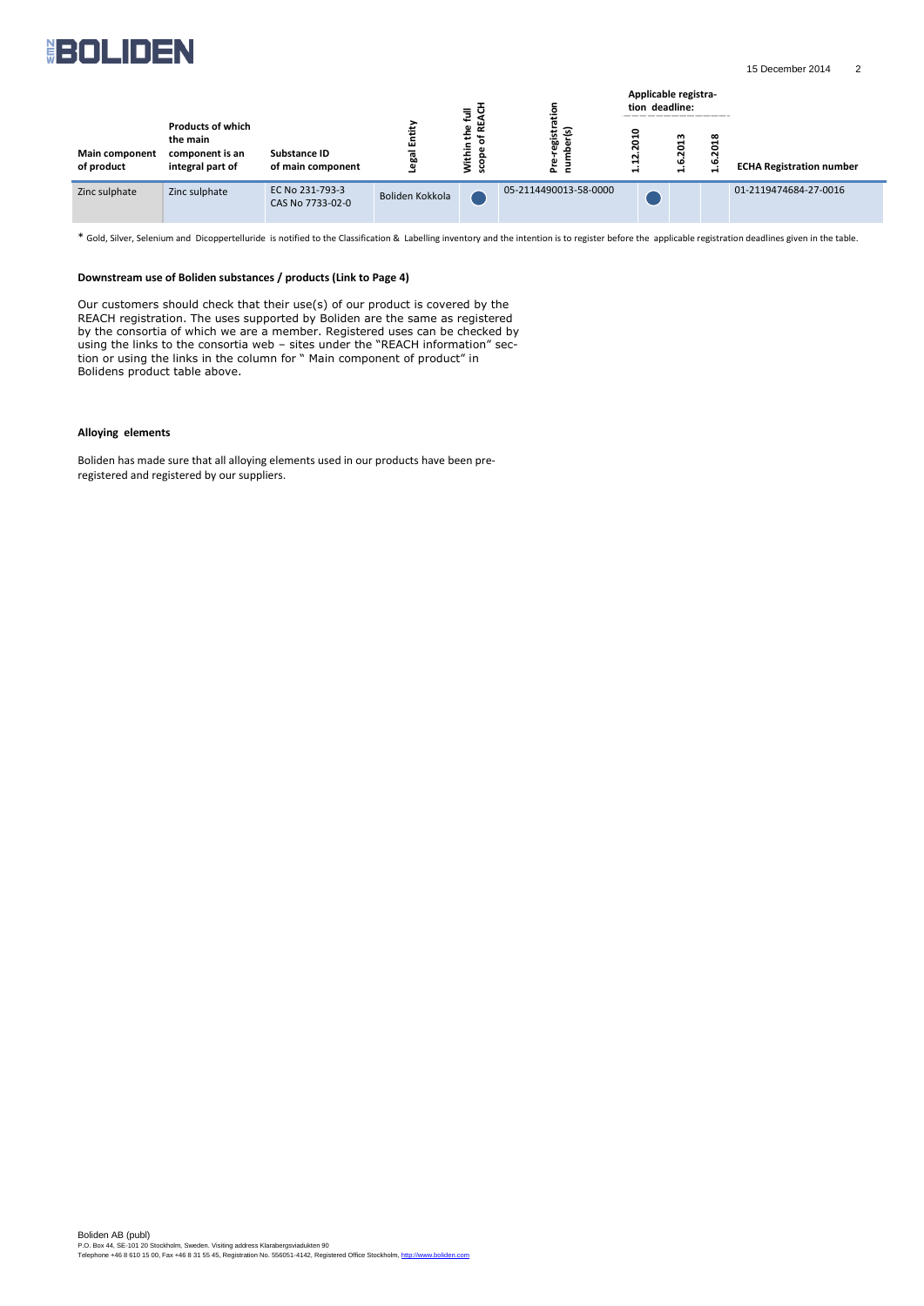

Boliden AB (publ) P.O. Box 44, SE-101 20 Stockholm, Sweden. Visiting address Klarabergsviadukten 90 Telephone +46 8 610 15 00, Fax +46 8 31 55 45, Registration No. 556051-4142, Registered Office Stockholm[, http://www.boliden.com](http://www.boliden.com/) 



\* Gold, Silver, Selenium and Dicoppertelluride is notified to the Classification & Labelling inventory and the intention is to register before the applicable registration deadlines given in the table.

#### **Downstream use of Boliden substances / products (Link to Page 4)**

Our customers should check that their use(s) of our product is covered by the REACH registration. The uses supported by Boliden are the same as registered by the consortia of which we are a member. Registered uses can be checked by using the links to the consortia web – sites under the "REACH information" section or using the links in the column for " Main component of product" in Bolidens product table above.

#### **Alloying elements**

Boliden has made sure that all alloying elements used in our products have been preregistered and registered by our suppliers.